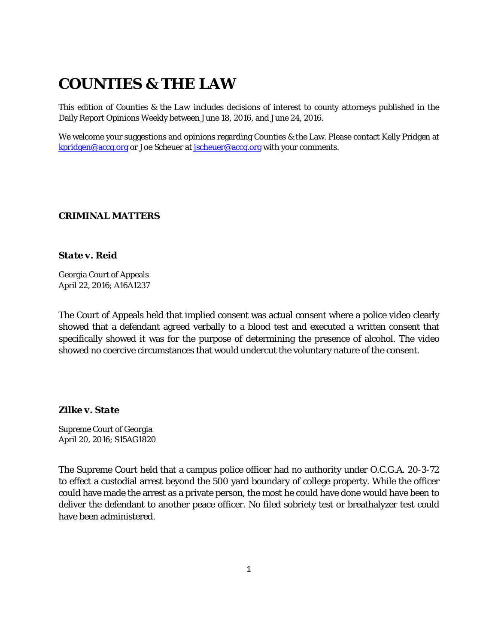# **COUNTIES & THE LAW**

This edition of *Counties & the Law* includes decisions of interest to county attorneys published in the Daily Report Opinions Weekly between June 18, 2016, and June 24, 2016.

We welcome your suggestions and opinions regarding Counties & the Law. Please contact Kelly Pridgen at [kpridgen@accg.org](mailto:kpridgen@accg.org) or Joe Scheuer at [jscheuer@accg.org](mailto:jscheuer@accg.org) with your comments.

## *CRIMINAL MATTERS*

## *State v. Reid*

Georgia Court of Appeals April 22, 2016; A16A1237

The Court of Appeals held that implied consent was actual consent where a police video clearly showed that a defendant agreed verbally to a blood test and executed a written consent that specifically showed it was for the purpose of determining the presence of alcohol. The video showed no coercive circumstances that would undercut the voluntary nature of the consent.

## *Zilke v. State*

Supreme Court of Georgia April 20, 2016; S15AG1820

The Supreme Court held that a campus police officer had no authority under O.C.G.A. 20-3-72 to effect a custodial arrest beyond the 500 yard boundary of college property. While the officer could have made the arrest as a private person, the most he could have done would have been to deliver the defendant to another peace officer. No filed sobriety test or breathalyzer test could have been administered.